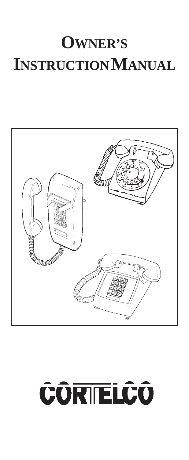## **OWNER'S INSTRUCTION MANUAL**



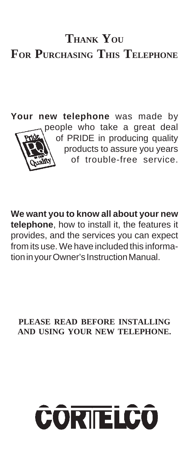### **THANK YOU FOR PURCHASING THIS TELEPHONE**

**Your new telephone** was made by people who take a great deal of PRIDE in producing quality products to assure you years of trouble-free service.

**We want you to know all about your new telephone**, how to install it, the features it provides, and the services you can expect from its use. We have included this information in your Owner's Instruction Manual.

**PLEASE READ BEFORE INSTALLING AND USING YOUR NEW TELEPHONE.**

# **CÔRIELCO**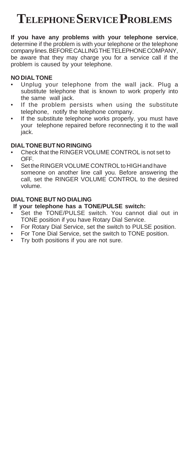### **TELEPHONE SERVICE PROBLEMS**

**If you have any problems with your telephone service**, determine if the problem is with your telephone or the telephone company lines. BEFORE CALLING THE TELEPHONE COMPANY, be aware that they may charge you for a service call if the problem is caused by your telephone.

#### **NO DIAL TONE**

- Unplug your telephone from the wall jack. Plug a substitute telephone that is known to work properly into the same wall jack.
- If the problem persists when using the substitute telephone, notify the telephone company.
- If the substitute telephone works properly, you must have your telephone repaired before reconnecting it to the wall jack.

#### **DIAL TONE BUT NO RINGING**

- Check that the RINGER VOLUME CONTROL is not set to OFF.
- Set the RINGER VOLUME CONTROL to HIGH and have someone on another line call you. Before answering the call, set the RINGER VOLUME CONTROL to the desired volume.

#### **DIAL TONE BUT NO DIALING**

#### **If your telephone has a TONE/PULSE switch:**

- Set the TONE/PULSE switch. You cannot dial out in TONE position if you have Rotary Dial Service.
- For Rotary Dial Service, set the switch to PULSE position.
- For Tone Dial Service, set the switch to TONE position.
- Try both positions if you are not sure.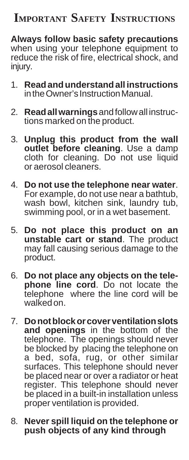### **IMPORTANT SAFETY INSTRUCTIONS**

**Always follow basic safety precautions** when using your telephone equipment to reduce the risk of fire, electrical shock, and injury.

- 1. **Read and understand all instructions** in the Owner's Instruction Manual.
- 2. **Read all warnings** and follow all instructions marked on the product.
- 3. **Unplug this product from the wall outlet before cleaning**. Use a damp cloth for cleaning. Do not use liquid or aerosol cleaners.
- 4. **Do not use the telephone near water**. For example, do not use near a bathtub, wash bowl, kitchen sink, laundry tub. swimming pool, or in a wet basement.
- 5. **Do not place this product on an unstable cart or stand**. The product may fall causing serious damage to the product.
- 6. **Do not place any objects on the telephone line cord**. Do not locate the telephone where the line cord will be walked on.
- 7. **Do not block or cover ventilation slots and openings** in the bottom of the telephone. The openings should never be blocked by placing the telephone on a bed, sofa, rug, or other similar surfaces. This telephone should never be placed near or over a radiator or heat register. This telephone should never be placed in a built-in installation unless proper ventilation is provided.
- 8. **Never spill liquid on the telephone or push objects of any kind through**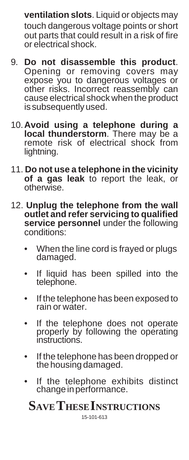**ventilation slots**. Liquid or objects may touch dangerous voltage points or short out parts that could result in a risk of fire or electrical shock.

- 9. **Do not disassemble this product**. Opening or removing covers may expose you to dangerous voltages or other risks. Incorrect reassembly can cause electrical shock when the product is subsequently used.
- 10.**Avoid using a telephone during a** local thunderstorm. There may be a remote risk of electrical shock from lightning.
- 11. **Do not use a telephone in the vicinity of a gas leak** to report the leak, or otherwise.
- 12. **Unplug the telephone from the wall outlet and refer servicing to qualified service personnel** under the following conditions:
	- When the line cord is frayed or plugs damaged.
	- If liquid has been spilled into the telephone.
	- If the telephone has been exposed to rain or water.
	- If the telephone does not operate properly by following the operating instructions.
	- If the telephone has been dropped or<br>the housing damaged.
	- If the telephone exhibits distinct change in performance.

### **SAVE THESE INSTRUCTIONS**

15-101-613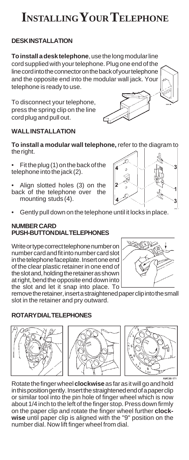### **INSTALLING YOUR TELEPHONE**

#### **DESK INSTALLATION**

**To install a desk telephone**, use the long modular line cord supplied with your telephone. Plug one end of the line cord into the connector on the back of your telephone and the opposite end into the modular wall jack. Your telephone is ready to use.

To disconnect your telephone, press the spring clip on the line cord plug and pull out.

#### **WALL INSTALLATION**

**To install a modular wall telephone,** refer to the diagram to the right.

- Fit the plug (1) on the back of the telephone into the jack (2).
- Align slotted holes (3) on the back of the telephone over the mounting studs (4).
- Gently pull down on the telephone until it locks in place.

#### **NUMBER CARD PUSH-BUTTON DIAL TELEPHONES**

Write or type correct telephone number on number card and fit into number card slot in the telephone faceplate. Insert one end of the clear plastic retainer in one end of the slot and, holding the retainer as shown at right, bend the opposite end down into the slot and let it snap into place. To

remove the retainer, insert a straightened paper clip into the small slot in the retainer and pry outward.

#### **ROTARY DIAL TELEPHONES**







Rotate the finger wheel **clockwise** as far as it will go and hold in this position gently. Insert the straightened end of a paper clip or similar tool into the pin hole of finger wheel which is now about 1/4 inch to the left of the finger stop. Press down firmly on the paper clip and rotate the finger wheel further **clockwise** until paper clip is aligned with the "9" position on the number dial. Now lift finger wheel from dial.





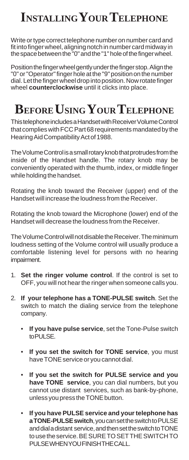### **INSTALLING YOUR TELEPHONE**

Write or type correct telephone number on number card and fit into finger wheel, aligning notch in number card midway in the space between the "0" and the "1" hole of the finger wheel.

Position the finger wheel gently under the finger stop. Align the "0" or "Operator" finger hole at the "9" position on the number dial. Let the finger wheel drop into position. Now rotate finger wheel **counterclockwise** until it clicks into place.

### **BEFORE USING YOUR TELEPHONE**

This telephone includes a Handset with Receiver Volume Control that complies with FCC Part 68 requirements mandated by the Hearing Aid Compatibility Act of 1988.

The Volume Control is a small rotary knob that protrudes from the inside of the Handset handle. The rotary knob may be conveniently operated with the thumb, index, or middle finger while holding the handset.

Rotating the knob toward the Receiver (upper) end of the Handset will increase the loudness from the Receiver.

Rotating the knob toward the Microphone (lower) end of the Handset will decrease the loudness from the Receiver.

The Volume Control will not disable the Receiver. The minimum loudness setting of the Volume control will usually produce a comfortable listening level for persons with no hearing impairment.

- 1. **Set the ringer volume control**. If the control is set to OFF, you will not hear the ringer when someone calls you.
- 2. **If your telephone has a TONE-PULSE switch**. Set the switch to match the dialing service from the telephone company.
	- **If you have pulse service**, set the Tone-Pulse switch to PULSE.
	- If you set the switch for TONE service, you must have TONE service or you cannot dial.
	- **If you set the switch for PULSE service and you have TONE service**, you can dial numbers, but you cannot use distant services, such as bank-by-phone, unless you press the TONE button.
	- **If you have PULSE service and your telephone has a TONE-PULSE switch**, you can set the switch to PULSE and dial a distant service, and then set the switch to TONE to use the service. BE SURE TO SET THE SWITCH TO PULSE WHEN YOU FINISH THE CALL.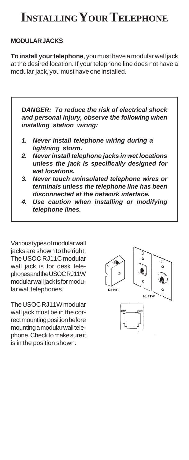### **INSTALLING YOUR TELEPHONE**

#### **MODULAR JACKS**

**To install your telephone**, you must have a modular wall jack at the desired location. If your telephone line does not have a modular jack, you must have one installed.

*DANGER: To reduce the risk of electrical shock and personal injury, observe the following when installing station wiring:*

- *1. Never install telephone wiring during a lightning storm.*
- *2. Never install telephone jacks in wet locations unless the jack is specifically designed for wet locations.*
- *3. Never touch uninsulated telephone wires or terminals unless the telephone line has been disconnected at the network interface.*
- *4. Use caution when installing or modifying telephone lines.*

Various types of modular wall jacks are shown to the right. The USOC RJ11C modular wall jack is for desk telephones and the USOC RJ11W modular wall jack is for modular wall telephones.

The USOC RJ11W modular wall jack must be in the correct mounting position before mounting a modular wall telephone. Check to make sure it is in the position shown.

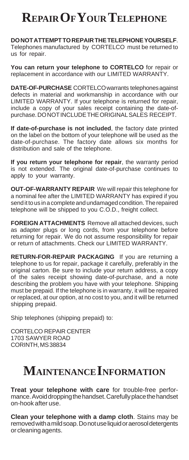### **REPAIR OF YOUR TELEPHONE**

**DO NOT ATTEMPT TO REPAIR THE TELEPHONE YOURSELF**. Telephones manufactured by CORTELCO must be returned to us for repair.

**You can return your telephone to CORTELCO** for repair or replacement in accordance with our LIMITED WARRANTY.

**DATE-OF-PURCHASE** CORTELCO warrants telephones against defects in material and workmanship in accordance with our LIMITED WARRANTY. If your telephone is returned for repair, include a copy of your sales receipt containing the date-ofpurchase. DO NOT INCLUDE THE ORIGINAL SALES RECEIPT.

**If date-of-purchase is not included**, the factory date printed on the label on the bottom of your telephone will be used as the date-of-purchase. The factory date allows six months for distribution and sale of the telephone.

**If you return your telephone for repair**, the warranty period is not extended. The original date-of-purchase continues to apply to your warranty.

**OUT-OF-WARRANTY REPAIR** We will repair this telephone for a nominal fee after the LIMITED WARRANTY has expired if you send it to us in a complete and undamaged condition. The repaired telephone will be shipped to you C.O.D., freight collect.

**FOREIGN ATTACHMENTS** Remove all attached devices, such as adapter plugs or long cords, from your telephone before returning for repair. We do not assume responsibility for repair or return of attachments. Check our LIMITED WARRANTY.

**RETURN-FOR-REPAIR PACKAGING** If you are returning a telephone to us for repair, package it carefully, preferably in the original carton. Be sure to include your return address, a copy of the sales receipt showing date-of-purchase, and a note describing the problem you have with your telephone. Shipping must be prepaid. If the telephone is in warranty, it will be repaired or replaced, at our option, at no cost to you, and it will be returned shipping prepaid.

Ship telephones (shipping prepaid) to:

CORTELCO REPAIR CENTER 1703 SAWYER ROAD CORINTH, MS 38834

### **MAINTENANCE INFORMATION**

**Treat your telephone with care** for trouble-free performance. Avoid dropping the handset. Carefully place the handset on-hook after use.

**Clean your telephone with a damp cloth**. Stains may be removed with a mild soap. Do not use liquid or aerosol detergents or cleaning agents.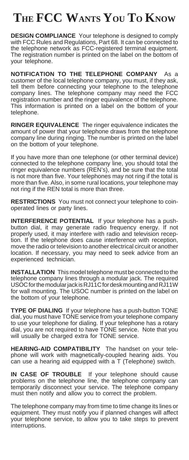### **THE FCC WANTS YOU TO KNOW**

**DESIGN COMPLIANCE** Your telephone is designed to comply with FCC Rules and Regulations, Part 68. It can be connected to the telephone network as FCC-registered terminal equipment. The registration number is printed on the label on the bottom of your telephone.

**NOTIFICATION TO THE TELEPHONE COMPANY** As a customer of the local telephone company, you must, if they ask, tell them before connecting your telephone to the telephone company lines. The telephone company may need the FCC registration number and the ringer equivalence of the telephone. This information is printed on a label on the bottom of your telephone.

**RINGER EQUIVALENCE** The ringer equivalence indicates the amount of power that your telephone draws from the telephone company line during ringing. The number is printed on the label on the bottom of your telephone.

If you have more than one telephone (or other terminal device) connected to the telephone company line, you should total the ringer equivalence numbers (REN's), and be sure that the total is not more than five. Your telephones may not ring if the total is more than five. Also, in some rural locations, your telephone may not ring if the REN total is more than three.

**RESTRICTIONS** You must not connect your telephone to coinoperated lines or party lines.

**INTERFERENCE POTENTIAL** If your telephone has a pushbutton dial, it may generate radio frequency energy. If not properly used, it may interfere with radio and television reception. If the telephone does cause interference with reception, move the radio or television to another electrical circuit or another location. If necessary, you may need to seek advice from an experienced technician.

**INSTALLATION** This model telephone must be connected to the telephone company lines through a modular jack. The required USOC for the modular jack is RJ11C for desk mounting and RJ11W for wall mounting. The USOC number is printed on the label on the bottom of your telephone.

**TYPE OF DIALING** If your telephone has a push-button TONE dial, you must have TONE service from your telephone company to use your telephone for dialing. If your telephone has a rotary dial, you are not required to have TONE service. Note that you will usually be charged extra for TONE service.

**HEARING-AID COMPATIBILITY** The handset on your telephone will work with magnetically-coupled hearing aids. You can use a hearing aid equipped with a T (Telephone) switch.

**IN CASE OF TROUBLE** If your telephone should cause problems on the telephone line, the telephone company can temporarily disconnect your service. The telephone company must then notify and allow you to correct the problem.

The telephone company may from time to time change its lines or equipment. They must notify you if planned changes will affect your telephone service, to allow you to take steps to prevent interruptions.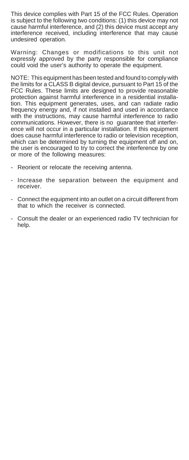This device complies with Part 15 of the FCC Rules. Operation is subject to the following two conditions: (1) this device may not cause harmful interference, and (2) this device must accept any interference received, including interference that may cause undesired operation.

Warning: Changes or modifications to this unit not expressly approved by the party responsible for compliance could void the user's authority to operate the equipment.

NOTE: This equipment has been tested and found to comply with the limits for a CLASS B digital device, pursuant to Part 15 of the FCC Rules. These limits are designed to provide reasonable protection against harmful interference in a residential installation. This equipment generates, uses, and can radiate radio frequency energy and, if not installed and used in accordance with the instructions, may cause harmful interference to radio communications. However, there is no guarantee that interference will not occur in a particular installation. If this equipment does cause harmful interference to radio or television reception, which can be determined by turning the equipment off and on, the user is encouraged to try to correct the interference by one or more of the following measures:

- Reorient or relocate the receiving antenna.
- Increase the separation between the equipment and receiver.
- Connect the equipment into an outlet on a circuit different from that to which the receiver is connected.
- Consult the dealer or an experienced radio TV technician for help.